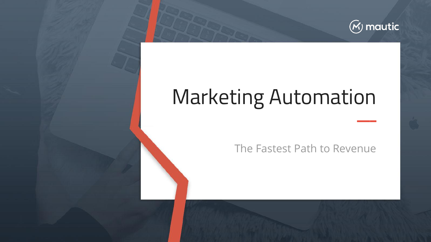

 $\overline{\phantom{a}}$ 

# Marketing Automation

The Fastest Path to Revenue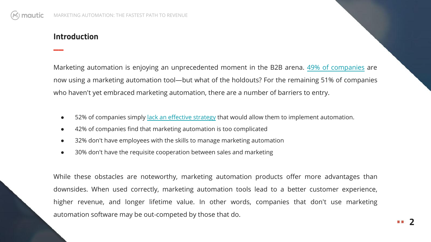# **Introduction**

 $\overline{\phantom{a}}$ 

Marketing automation is enjoying an unprecedented moment in the B2B arena. [49% of companies](http://www.thedrum.com/news/2016/04/13/marketing-automation-growth-unprecedented-yet-b2b-marketers-agree-it-time-consuming) are now using a marketing automation tool—but what of the holdouts? For the remaining 51% of companies who haven't yet embraced marketing automation, there are a number of barriers to entry.

- 52% of companies simply [lack an effective strategy](http://ascend2.com/wp-content/uploads/2017/01/Marketing-Automation-Trends-Survey-Summary-Report-160210.pdf) that would allow them to implement automation.
- 42% of companies find that marketing automation is too complicated
- 32% don't have employees with the skills to manage marketing automation
- 30% don't have the requisite cooperation between sales and marketing

While these obstacles are noteworthy, marketing automation products offer more advantages than downsides. When used correctly, marketing automation tools lead to a better customer experience, higher revenue, and longer lifetime value. In other words, companies that don't use marketing automation software may be out-competed by those that do.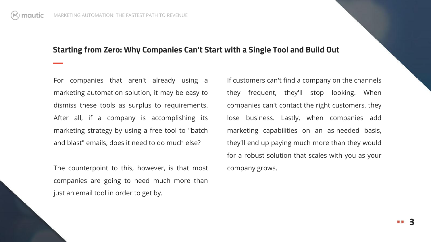$\overline{a}$ 

### **Starting from Zero: Why Companies Can't Start with a Single Tool and Build Out**

For companies that aren't already using a marketing automation solution, it may be easy to dismiss these tools as surplus to requirements. After all, if a company is accomplishing its marketing strategy by using a free tool to "batch and blast" emails, does it need to do much else?

The counterpoint to this, however, is that most companies are going to need much more than just an email tool in order to get by.

If customers can't find a company on the channels they frequent, they'll stop looking. When companies can't contact the right customers, they lose business. Lastly, when companies add marketing capabilities on an as-needed basis, they'll end up paying much more than they would for a robust solution that scales with you as your company grows.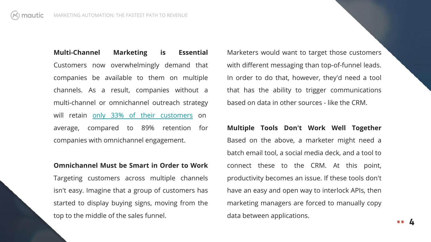**Multi-Channel Marketing is Essential** Customers now overwhelmingly demand that companies be available to them on multiple channels. As a result, companies without a multi-channel or omnichannel outreach strategy will retain [only 33% of their customers](http://www.business2community.com/infographics/10-notable-omnichannel-trends-statistics-infographic-01520137) on average, compared to 89% retention for companies with omnichannel engagement.

#### **Omnichannel Must be Smart in Order to Work**

Targeting customers across multiple channels isn't easy. Imagine that a group of customers has started to display buying signs, moving from the top to the middle of the sales funnel.

Marketers would want to target those customers with different messaging than top-of-funnel leads. In order to do that, however, they'd need a tool that has the ability to trigger communications based on data in other sources - like the CRM.

**Multiple Tools Don't Work Well Together** Based on the above, a marketer might need a batch email tool, a social media deck, and a tool to connect these to the CRM. At this point, productivity becomes an issue. If these tools don't have an easy and open way to interlock APIs, then marketing managers are forced to manually copy data between applications.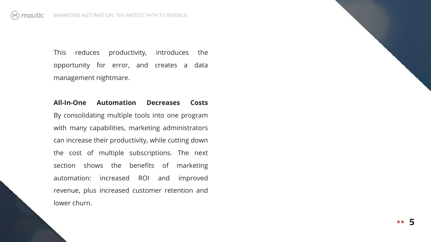This reduces productivity, introduces the opportunity for error, and creates a data management nightmare.

# **All-In-One Automation Decreases Costs**

By consolidating multiple tools into one program with many capabilities, marketing administrators can increase their productivity, while cutting down the cost of multiple subscriptions. The next section shows the benefits of marketing automation: increased ROI and improved revenue, plus increased customer retention and lower churn.

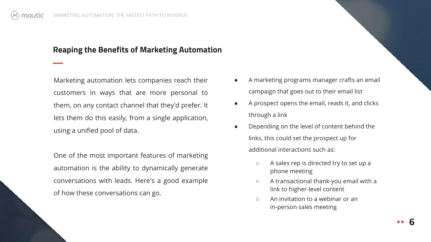$\overline{a}$ 

# **Reaping the Benefits of Marketing Automation**

Marketing automation lets companies reach their customers in ways that are more personal to them, on any contact channel that they'd prefer. It lets them do this easily, from a single application, using a unified pool of data.

One of the most important features of marketing automation is the ability to dynamically generate conversations with leads. Here's a good example of how these conversations can go.

- A marketing programs manager crafts an email campaign that goes out to their email list
- A prospect opens the email, reads it, and clicks through a link
- Depending on the level of content behind the links, this could set the prospect up for additional interactions such as:
	- A sales rep is directed try to set up a phone meeting
	- A transactional thank-you email with a link to higher-level content
	- An invitation to a webinar or an in-person sales meeting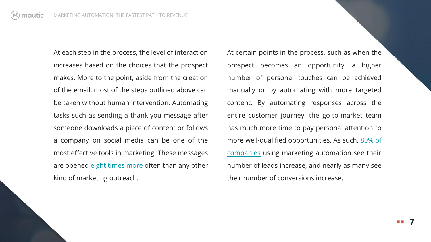At each step in the process, the level of interaction increases based on the choices that the prospect makes. More to the point, aside from the creation of the email, most of the steps outlined above can be taken without human intervention. Automating tasks such as sending a thank-you message after someone downloads a piece of content or follows a company on social media can be one of the most effective tools in marketing. These messages are opened [eight times more](http://www.experian.com/assets/marketing-services/reports/transactional-email-report.pdf) often than any other kind of marketing outreach.

At certain points in the process, such as when the prospect becomes an opportunity, a higher number of personal touches can be achieved manually or by automating with more targeted content. By automating responses across the entire customer journey, the go-to-market team has much more time to pay personal attention to more well-qualified opportunities. As such, [80% of](http://insight.venturebeat.com/report/marketing-automation-how-make-right-buying-decision-first-time) [companies](http://insight.venturebeat.com/report/marketing-automation-how-make-right-buying-decision-first-time) using marketing automation see their number of leads increase, and nearly as many see their number of conversions increase.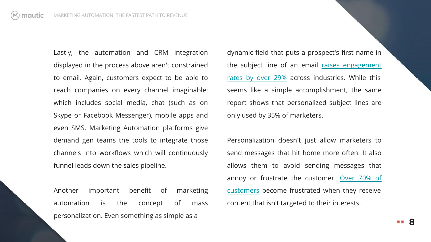Lastly, the automation and CRM integration displayed in the process above aren't constrained to email. Again, customers expect to be able to reach companies on every channel imaginable: which includes social media, chat (such as on Skype or Facebook Messenger), mobile apps and even SMS. Marketing Automation platforms give demand gen teams the tools to integrate those channels into workflows which will continuously funnel leads down the sales pipeline.

Another important benefit of marketing automation is the concept of mass personalization. Even something as simple as a

dynamic field that puts a prospect's first name in the subject line of an email [raises engagement](https://www.marketingsherpa.com/article/chart/personal-subject-lines) [rates by over 29%](https://www.marketingsherpa.com/article/chart/personal-subject-lines) across industries. While this seems like a simple accomplishment, the same report shows that personalized subject lines are only used by 35% of marketers.

Personalization doesn't just allow marketers to send messages that hit home more often. It also allows them to avoid sending messages that annoy or frustrate the customer. [Over 70% of](http://www.janrain.com/about/newsroom/press-releases/online-consumers-fed-up-with-irrelevant-content-on-favorite-websites-according-to-janrain-study/) [customers](http://www.janrain.com/about/newsroom/press-releases/online-consumers-fed-up-with-irrelevant-content-on-favorite-websites-according-to-janrain-study/) become frustrated when they receive content that isn't targeted to their interests.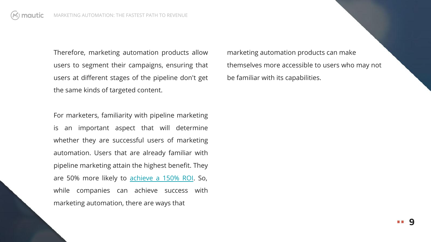Therefore, marketing automation products allow users to segment their campaigns, ensuring that users at different stages of the pipeline don't get the same kinds of targeted content.

For marketers, familiarity with pipeline marketing is an important aspect that will determine whether they are successful users of marketing automation. Users that are already familiar with pipeline marketing attain the highest benefit. They are 50% more likely to [achieve a 150% ROI](http://www.bizible.com/blog/state-of-pipeline-marketing-report-2016). So, while companies can achieve success with marketing automation, there are ways that

marketing automation products can make themselves more accessible to users who may not be familiar with its capabilities.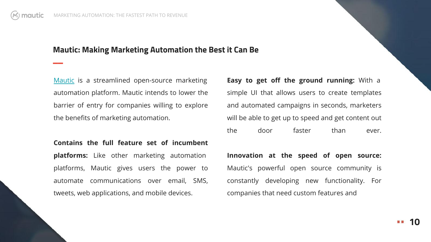$\overline{a}$ 

## **Mautic: Making Marketing Automation the Best it Can Be**

[Mautic](http://www.mautic.com) is a streamlined open-source marketing automation platform. Mautic intends to lower the barrier of entry for companies willing to explore the benefits of marketing automation.

**Contains the full feature set of incumbent platforms:** Like other marketing automation platforms, Mautic gives users the power to automate communications over email, SMS, tweets, web applications, and mobile devices.

**Easy to get off the ground running:** With a simple UI that allows users to create templates and automated campaigns in seconds, marketers will be able to get up to speed and get content out the door faster than ever.

**Innovation at the speed of open source:**  Mautic's powerful open source community is constantly developing new functionality. For companies that need custom features and